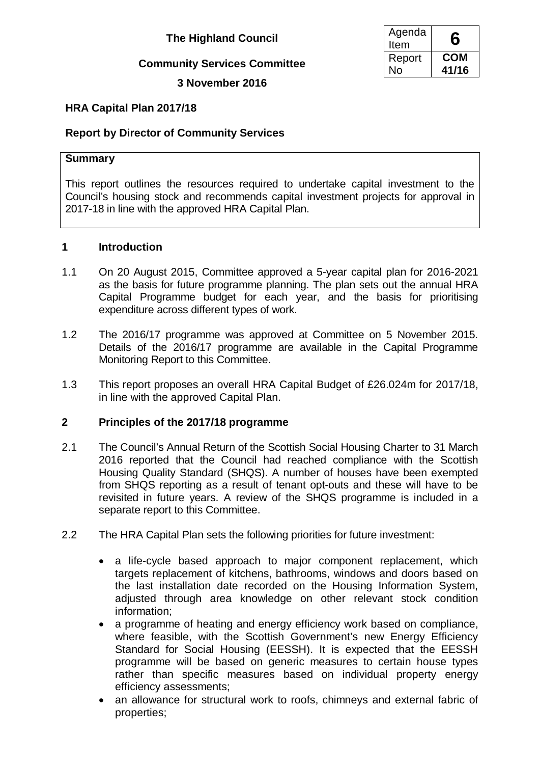# **Community Services Committee**

**3 November 2016**

| Agenda<br>Item | 6     |
|----------------|-------|
| Report         | COM   |
| N٥             | 41/16 |

# **HRA Capital Plan 2017/18**

# **Report by Director of Community Services**

### **Summary**

This report outlines the resources required to undertake capital investment to the Council's housing stock and recommends capital investment projects for approval in 2017-18 in line with the approved HRA Capital Plan.

## **1 Introduction**

- 1.1 On 20 August 2015, Committee approved a 5-year capital plan for 2016-2021 as the basis for future programme planning. The plan sets out the annual HRA Capital Programme budget for each year, and the basis for prioritising expenditure across different types of work.
- 1.2 The 2016/17 programme was approved at Committee on 5 November 2015. Details of the 2016/17 programme are available in the Capital Programme Monitoring Report to this Committee.
- 1.3 This report proposes an overall HRA Capital Budget of £26.024m for 2017/18, in line with the approved Capital Plan.

# **2 Principles of the 2017/18 programme**

- 2.1 The Council's Annual Return of the Scottish Social Housing Charter to 31 March 2016 reported that the Council had reached compliance with the Scottish Housing Quality Standard (SHQS). A number of houses have been exempted from SHQS reporting as a result of tenant opt-outs and these will have to be revisited in future years. A review of the SHQS programme is included in a separate report to this Committee.
- 2.2 The HRA Capital Plan sets the following priorities for future investment:
	- a life-cycle based approach to major component replacement, which targets replacement of kitchens, bathrooms, windows and doors based on the last installation date recorded on the Housing Information System, adjusted through area knowledge on other relevant stock condition information;
	- a programme of heating and energy efficiency work based on compliance, where feasible, with the Scottish Government's new Energy Efficiency Standard for Social Housing (EESSH). It is expected that the EESSH programme will be based on generic measures to certain house types rather than specific measures based on individual property energy efficiency assessments;
	- an allowance for structural work to roofs, chimneys and external fabric of properties;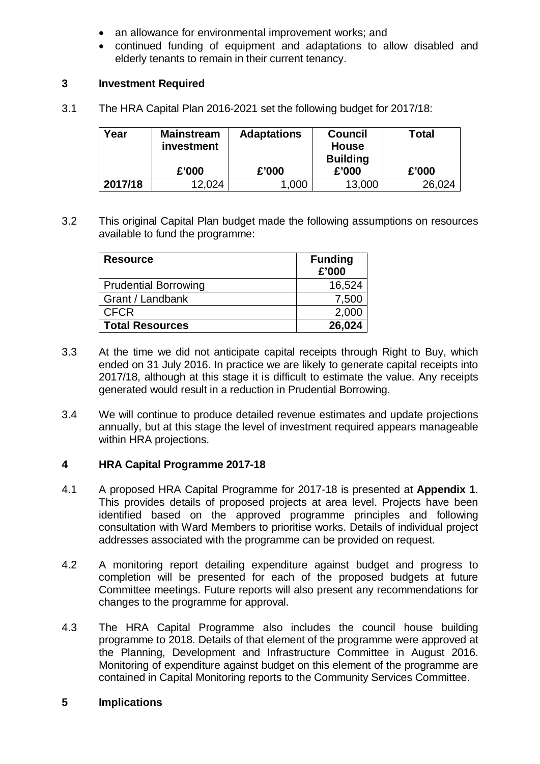- an allowance for environmental improvement works; and
- continued funding of equipment and adaptations to allow disabled and elderly tenants to remain in their current tenancy.

## **3 Investment Required**

3.1 The HRA Capital Plan 2016-2021 set the following budget for 2017/18:

| Year    | <b>Mainstream</b><br>investment | <b>Adaptations</b> | Council<br><b>House</b><br><b>Building</b> | Total  |
|---------|---------------------------------|--------------------|--------------------------------------------|--------|
|         | £'000                           | £'000              | £'000                                      | £'000  |
| 2017/18 | 12,024                          | .000               | 13,000                                     | 26,024 |

3.2 This original Capital Plan budget made the following assumptions on resources available to fund the programme:

| <b>Resource</b>             | <b>Funding</b><br>£'000 |
|-----------------------------|-------------------------|
| <b>Prudential Borrowing</b> | 16,524                  |
| Grant / Landbank            | 7,500                   |
| <b>CFCR</b>                 | 2,000                   |
| <b>Total Resources</b>      | 26,024                  |

- 3.3 At the time we did not anticipate capital receipts through Right to Buy, which ended on 31 July 2016. In practice we are likely to generate capital receipts into 2017/18, although at this stage it is difficult to estimate the value. Any receipts generated would result in a reduction in Prudential Borrowing.
- 3.4 We will continue to produce detailed revenue estimates and update projections annually, but at this stage the level of investment required appears manageable within HRA projections.

#### **4 HRA Capital Programme 2017-18**

- 4.1 A proposed HRA Capital Programme for 2017-18 is presented at **Appendix 1**. This provides details of proposed projects at area level. Projects have been identified based on the approved programme principles and following consultation with Ward Members to prioritise works. Details of individual project addresses associated with the programme can be provided on request.
- 4.2 A monitoring report detailing expenditure against budget and progress to completion will be presented for each of the proposed budgets at future Committee meetings. Future reports will also present any recommendations for changes to the programme for approval.
- 4.3 The HRA Capital Programme also includes the council house building programme to 2018. Details of that element of the programme were approved at the Planning, Development and Infrastructure Committee in August 2016. Monitoring of expenditure against budget on this element of the programme are contained in Capital Monitoring reports to the Community Services Committee.

### **5 Implications**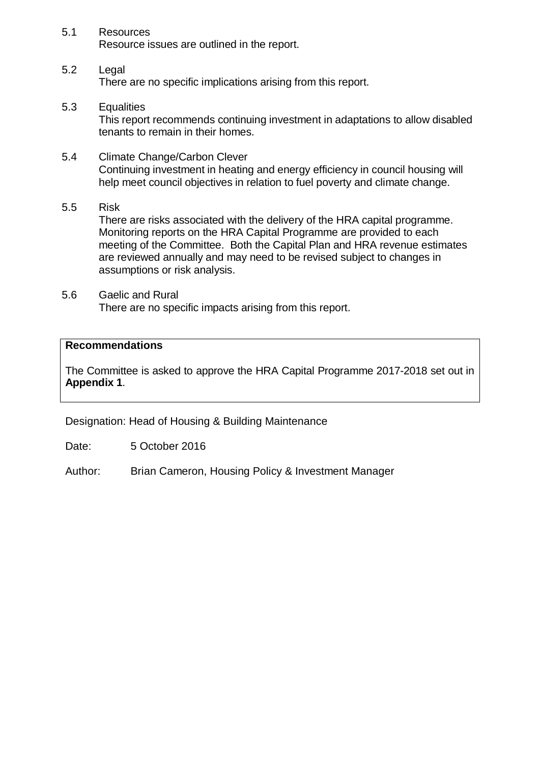5.1 Resources Resource issues are outlined in the report.

# 5.2 Legal

There are no specific implications arising from this report.

5.3 Equalities

This report recommends continuing investment in adaptations to allow disabled tenants to remain in their homes.

- 5.4 Climate Change/Carbon Clever Continuing investment in heating and energy efficiency in council housing will help meet council objectives in relation to fuel poverty and climate change.
- 5.5 Risk

There are risks associated with the delivery of the HRA capital programme. Monitoring reports on the HRA Capital Programme are provided to each meeting of the Committee. Both the Capital Plan and HRA revenue estimates are reviewed annually and may need to be revised subject to changes in assumptions or risk analysis.

5.6 Gaelic and Rural There are no specific impacts arising from this report.

## **Recommendations**

The Committee is asked to approve the HRA Capital Programme 2017-2018 set out in **Appendix 1**.

Designation: Head of Housing & Building Maintenance

Date: 5 October 2016

Author: Brian Cameron, Housing Policy & Investment Manager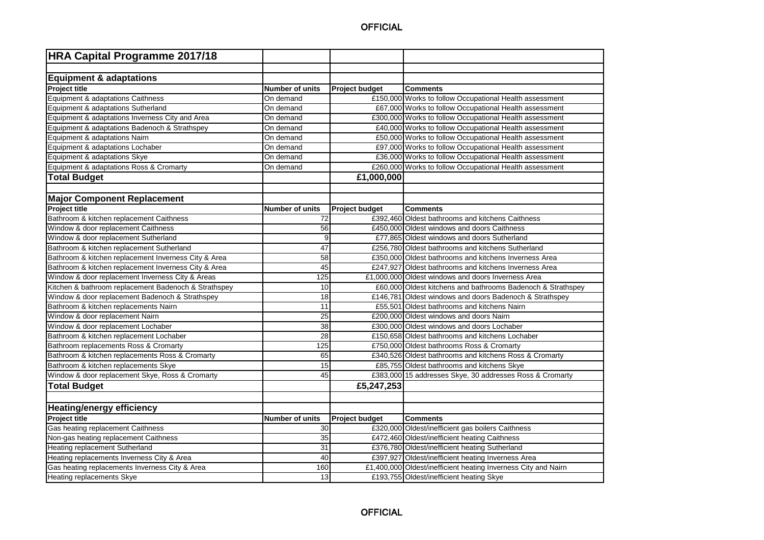| <b>HRA Capital Programme 2017/18</b>                 |                        |                       |                                                                |
|------------------------------------------------------|------------------------|-----------------------|----------------------------------------------------------------|
|                                                      |                        |                       |                                                                |
| <b>Equipment &amp; adaptations</b>                   |                        |                       |                                                                |
| Project title                                        | <b>Number of units</b> | <b>Project budget</b> | <b>Comments</b>                                                |
| Equipment & adaptations Caithness                    | On demand              |                       | £150,000 Works to follow Occupational Health assessment        |
| Equipment & adaptations Sutherland                   | On demand              |                       | £67,000 Works to follow Occupational Health assessment         |
| Equipment & adaptations Inverness City and Area      | On demand              |                       | £300,000 Works to follow Occupational Health assessment        |
| Equipment & adaptations Badenoch & Strathspey        | On demand              |                       | £40,000 Works to follow Occupational Health assessment         |
| Equipment & adaptations Nairn                        | On demand              |                       | £50,000 Works to follow Occupational Health assessment         |
| Equipment & adaptations Lochaber                     | On demand              |                       | £97,000 Works to follow Occupational Health assessment         |
| Equipment & adaptations Skye                         | On demand              |                       | £36,000 Works to follow Occupational Health assessment         |
| Equipment & adaptations Ross & Cromarty              | On demand              |                       | £260,000 Works to follow Occupational Health assessment        |
| <b>Total Budget</b>                                  |                        | £1,000,000            |                                                                |
|                                                      |                        |                       |                                                                |
| <b>Major Component Replacement</b>                   |                        |                       |                                                                |
| Project title                                        | <b>Number of units</b> | <b>Project budget</b> | <b>Comments</b>                                                |
| Bathroom & kitchen replacement Caithness             | 72                     |                       | £392.460 Oldest bathrooms and kitchens Caithness               |
| Window & door replacement Caithness                  | 56                     |                       | £450,000 Oldest windows and doors Caithness                    |
| Window & door replacement Sutherland                 | 9                      |                       | £77,865 Oldest windows and doors Sutherland                    |
| Bathroom & kitchen replacement Sutherland            | 47                     |                       | £256.780 Oldest bathrooms and kitchens Sutherland              |
| Bathroom & kitchen replacement Inverness City & Area | 58                     |                       | £350,000 Oldest bathrooms and kitchens Inverness Area          |
| Bathroom & kitchen replacement Inverness City & Area | 45                     |                       | £247,927 Oldest bathrooms and kitchens Inverness Area          |
| Window & door replacement Inverness City & Areas     | 125                    |                       | £1,000,000 Oldest windows and doors Inverness Area             |
| Kitchen & bathroom replacement Badenoch & Strathspey | 10                     |                       | £60,000 Oldest kitchens and bathrooms Badenoch & Strathspey    |
| Window & door replacement Badenoch & Strathspey      | 18                     |                       | £146,781 Oldest windows and doors Badenoch & Strathspey        |
| Bathroom & kitchen replacements Nairn                | 11                     |                       | £55,501 Oldest bathrooms and kitchens Nairn                    |
| Window & door replacement Nairn                      | $\overline{25}$        |                       | £200,000 Oldest windows and doors Nairn                        |
| Window & door replacement Lochaber                   | 38                     |                       | £300,000 Oldest windows and doors Lochaber                     |
| Bathroom & kitchen replacement Lochaber              | 28                     |                       | £150,658 Oldest bathrooms and kitchens Lochaber                |
| Bathroom replacements Ross & Cromarty                | 125                    |                       | £750,000 Oldest bathrooms Ross & Cromarty                      |
| Bathroom & kitchen replacements Ross & Cromarty      | 65                     |                       | £340,526 Oldest bathrooms and kitchens Ross & Cromarty         |
| Bathroom & kitchen replacements Skye                 | 15                     |                       | £85,755 Oldest bathrooms and kitchens Skye                     |
| Window & door replacement Skye, Ross & Cromarty      | 45                     |                       | £383,000 15 addresses Skye, 30 addresses Ross & Cromarty       |
| <b>Total Budget</b>                                  |                        | £5,247,253            |                                                                |
|                                                      |                        |                       |                                                                |
| <b>Heating/energy efficiency</b>                     |                        |                       |                                                                |
| Project title                                        | <b>Number of units</b> | <b>Project budget</b> | <b>Comments</b>                                                |
| Gas heating replacement Caithness                    | 30                     |                       | £320,000 Oldest/inefficient gas boilers Caithness              |
| Non-gas heating replacement Caithness                | 35                     |                       | £472,460 Oldest/inefficient heating Caithness                  |
| Heating replacement Sutherland                       | 31                     |                       | £376,780 Oldest/inefficient heating Sutherland                 |
| Heating replacements Inverness City & Area           | 40                     |                       | £397,927 Oldest/inefficient heating Inverness Area             |
| Gas heating replacements Inverness City & Area       | 160                    |                       | £1,400,000 Oldest/inefficient heating Inverness City and Nairn |
| Heating replacements Skye                            | 13                     |                       | £193,755 Oldest/inefficient heating Skye                       |